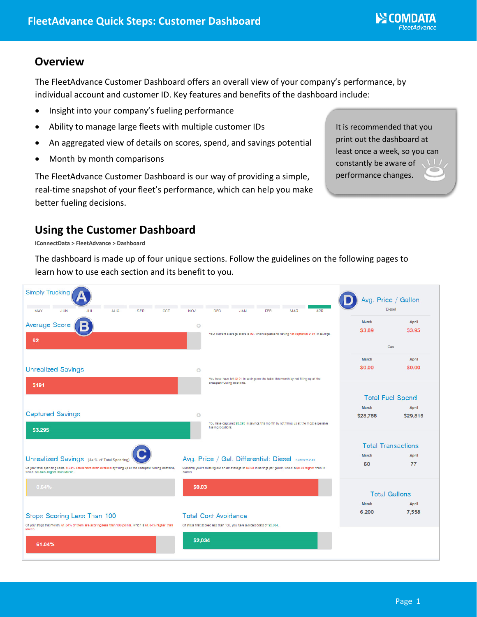### **Overview**

The FleetAdvance Customer Dashboard offers an overall view of your company's performance, by individual account and customer ID. Key features and benefits of the dashboard include:

- Insight into your company's fueling performance
- Ability to manage large fleets with multiple customer IDs
- An aggregated view of details on scores, spend, and savings potential
- Month by month comparisons

The FleetAdvance Customer Dashboard is our way of providing a simple, real-time snapshot of your fleet's performance, which can help you make better fueling decisions.

It is recommended that you print out the dashboard at least once a week, so you can constantly be aware of performance changes.

## **Using the Customer Dashboard**

**iConnectData > FleetAdvance > Dashboard**

The dashboard is made up of four unique sections. Follow the guidelines on the following pages to learn how to use each section and its benefit to you.

| <b>Simply Trucking</b>                                                                                                                            |                                                                                                                     |                                                                                                               |                                                    | Avg. Price / Gallon   |
|---------------------------------------------------------------------------------------------------------------------------------------------------|---------------------------------------------------------------------------------------------------------------------|---------------------------------------------------------------------------------------------------------------|----------------------------------------------------|-----------------------|
| MAY<br><b>JUN</b><br>JUL<br><b>AUG</b><br><b>SEP</b><br><b>OCT</b>                                                                                | <b>NOV</b>                                                                                                          | <b>APR</b><br><b>DEC</b><br><b>JAN</b><br>FEB<br><b>MAR</b>                                                   |                                                    | <b>Diesel</b>         |
| Average Score                                                                                                                                     | $\circ$                                                                                                             | Your current average score is 92, which equates to having not captured \$191 in savings.                      | March<br>\$3.89                                    | April<br>\$3.95       |
| 92                                                                                                                                                |                                                                                                                     |                                                                                                               | Gas                                                |                       |
| <b>Unrealized Savings</b>                                                                                                                         | $\circ$                                                                                                             | You have have left \$191 in savings on the table this month by not filling up at the                          | March<br>\$0.00                                    | April<br><b>SO.00</b> |
| <b>S191</b>                                                                                                                                       | cheapest fueling locations.                                                                                         |                                                                                                               | <b>Total Fuel Spend</b>                            |                       |
| <b>Captured Savings</b><br>\$3,295                                                                                                                | $\circ$                                                                                                             | You have captured \$3,295 in savings this month by not filling up at the most expensive<br>fueling locations. | <b>March</b><br>\$28,788                           | April<br>\$29,816     |
| Unrealized Savings (As % of Total Spending)                                                                                                       | Avg. Price / Gal. Differential: Diesel switch to gas                                                                |                                                                                                               | <b>Total Transactions</b><br><b>March</b><br>April |                       |
| Of your total spending costs, 0.64% could have been avoided by filling up at the cheapest fueling locations,<br>which is 0.64% higher than March. | Currently you're missing out on an average of \$0.03 in savings per gallon, which is \$0.03 higher than in<br>March |                                                                                                               | 60                                                 | 77                    |
| 0.64%                                                                                                                                             | \$0.03                                                                                                              |                                                                                                               |                                                    | <b>Total Gallons</b>  |
| Stops Scoring Less Than 100<br>Of your stops this month, 61.04% of them are scoring less than 100 points, which is 61.04% higher than             |                                                                                                                     | <b>Total Cost Avoidance</b><br>Of stops that scored less than 100, you have avoided costs of \$2,034.         | <b>March</b><br>6,200                              | April<br>7.558        |
| March.<br>61.04%                                                                                                                                  | \$2,034                                                                                                             |                                                                                                               |                                                    |                       |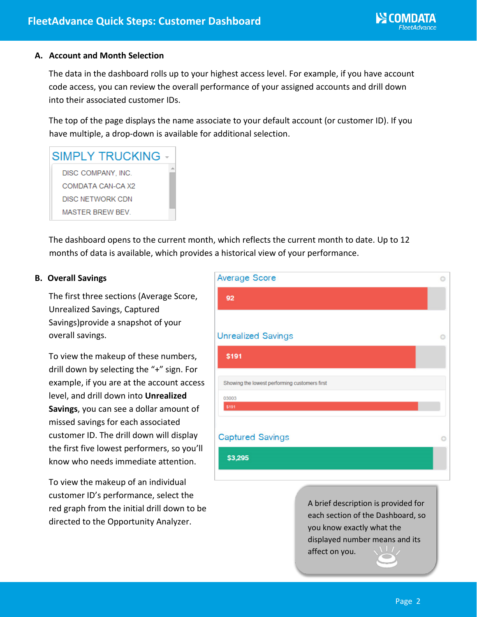#### **A. Account and Month Selection**

The data in the dashboard rolls up to your highest access level. For example, if you have account code access, you can review the overall performance of your assigned accounts and drill down into their associated customer IDs.

The top of the page displays the name associate to your default account (or customer ID). If you have multiple, a drop-down is available for additional selection.

# **SIMPLY TRUCKING** DISC COMPANY, INC.

COMDATA CAN-CA X2 **DISC NETWORK CDN** MASTER BREW BEV.

The dashboard opens to the current month, which reflects the current month to date. Up to 12 months of data is available, which provides a historical view of your performance.

### **B. Overall Savings**

The first three sections (Average Score, Unrealized Savings, Captured Savings)provide a snapshot of your overall savings.

To view the makeup of these numbers, drill down by selecting the "+" sign. For example, if you are at the account access level, and drill down into **Unrealized Savings**, you can see a dollar amount of missed savings for each associated customer ID. The drill down will display the first five lowest performers, so you'll know who needs immediate attention.

To view the makeup of an individual customer ID's performance, select the red graph from the initial drill down to be directed to the Opportunity Analyzer.

| 92<br><b>Unrealized Savings</b><br>\$191      |
|-----------------------------------------------|
|                                               |
|                                               |
|                                               |
|                                               |
| Showing the lowest performing customers first |
| 03003<br>\$191                                |
|                                               |
| <b>Captured Savings</b>                       |
| \$3,295                                       |

A brief description is provided for each section of the Dashboard, so you know exactly what the displayed number means and its affect on you.